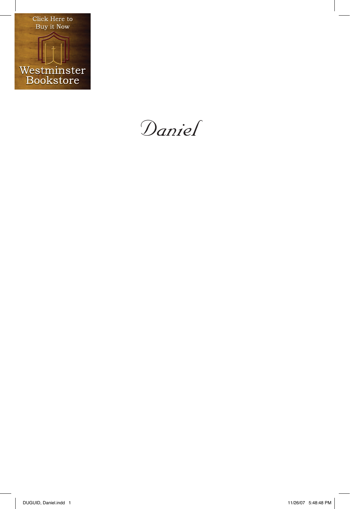

*Daniel*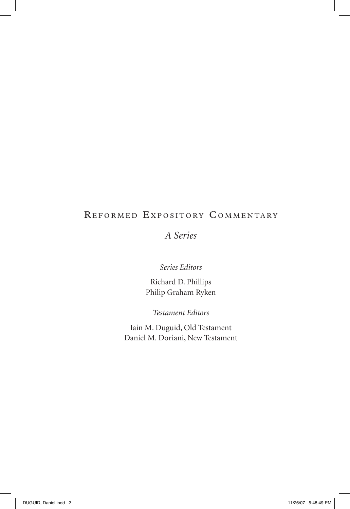### REFORMED EXPOSITORY COMMENTARY

#### *A Series*

*Series Editors*

Richard D. Phillips Philip Graham Ryken

*Testament Editors*

Iain M. Duguid, Old Testament Daniel M. Doriani, New Testament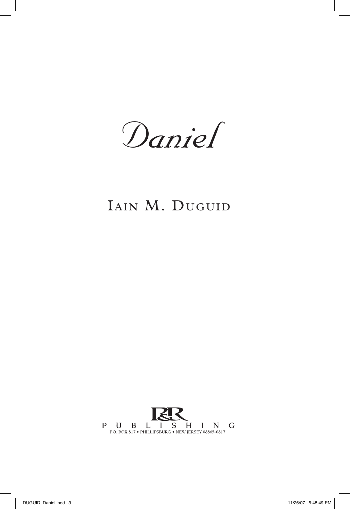*Daniel*

### IAIN M. DUGUID

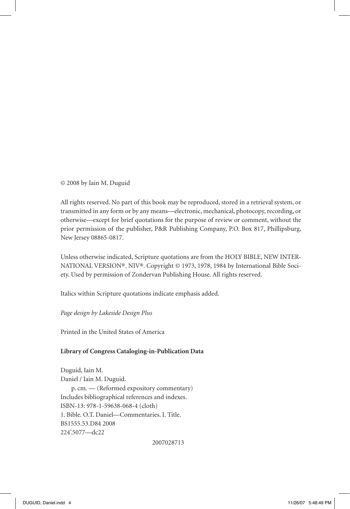© 2008 by Iain M. Duguid

All rights reserved. No part of this book may be reproduced, stored in a retrieval system, or transmitted in any form or by any means—electronic, mechanical, photocopy, recording, or otherwise—except for brief quotations for the purpose of review or comment, without the prior permission of the publisher, P&R Publishing Company, P.O. Box 817, Phillipsburg, New Jersey 08865-0817.

Unless otherwise indicated, Scripture quotations are from the HOLY BIBLE, NEW INTER-NATIONAL VERSION®. NIV®. Copyright © 1973, 1978, 1984 by International Bible Society. Used by permission of Zondervan Publishing House. All rights reserved.

Italics within Scripture quotations indicate emphasis added.

*Page design by Lakeside Design Plus*

Printed in the United States of America

#### **Library of Congress Cataloging-in-Publication Data**

Duguid, Iain M. Daniel / Iain M. Duguid. p. cm. — (Reformed expository commentary) Includes bibliographical references and indexes. ISBN-13: 978-1-59638-068-4 (cloth) 1. Bible. O.T. Daniel—Commentaries. I. Title. BS1555.53.D84 2008 224'.5077—dc22

2007028713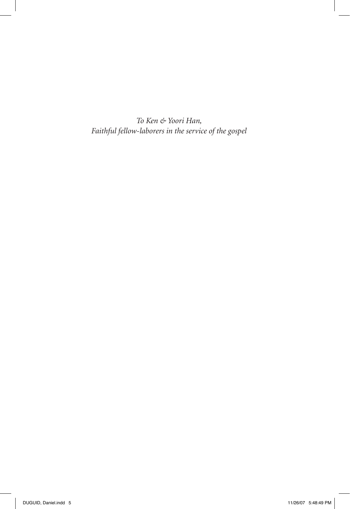*To Ken & Yoori Han, Faithful fellow-laborers in the service of the gospel*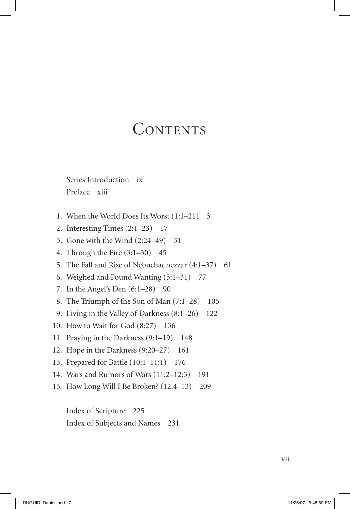## CONTENTS

Series Introduction ix Preface xiii

- 1. When the World Does Its Worst (1:1–21) 3
- 2. Interesting Times (2:1–23) 17
- 3. Gone with the Wind (2:24–49) 31
- 4. Through the Fire (3:1–30) 45
- 5. The Fall and Rise of Nebuchadnezzar (4:1–37) 61
- 6. Weighed and Found Wanting (5:1–31) 77
- 7. In the Angel's Den (6:1–28) 90
- 8. The Triumph of the Son of Man (7:1–28) 105
- 9. Living in the Valley of Darkness (8:1–26) 122
- 10. How to Wait for God (8:27) 136
- 11. Praying in the Darkness (9:1–19) 148
- 12. Hope in the Darkness (9:20–27) 161
- 13. Prepared for Battle (10:1–11:1) 176
- 14. Wars and Rumors of Wars (11:2–12:3) 191
- 15. How Long Will I Be Broken? (12:4–13) 209

Index of Scripture 225 Index of Subjects and Names 231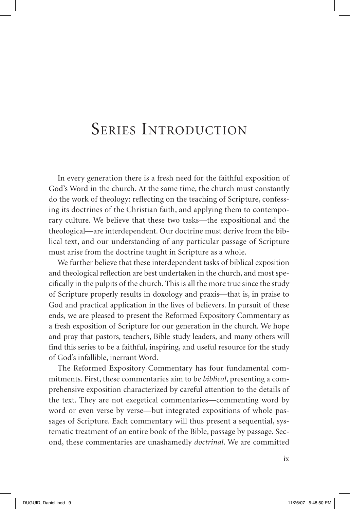## SERIES INTRODUCTION

In every generation there is a fresh need for the faithful exposition of God's Word in the church. At the same time, the church must constantly do the work of theology: reflecting on the teaching of Scripture, confessing its doctrines of the Christian faith, and applying them to contemporary culture. We believe that these two tasks—the expositional and the theological—are interdependent. Our doctrine must derive from the biblical text, and our understanding of any particular passage of Scripture must arise from the doctrine taught in Scripture as a whole.

We further believe that these interdependent tasks of biblical exposition and theological reflection are best undertaken in the church, and most specifically in the pulpits of the church. This is all the more true since the study of Scripture properly results in doxology and praxis—that is, in praise to God and practical application in the lives of believers. In pursuit of these ends, we are pleased to present the Reformed Expository Commentary as a fresh exposition of Scripture for our generation in the church. We hope and pray that pastors, teachers, Bible study leaders, and many others will find this series to be a faithful, inspiring, and useful resource for the study of God's infallible, inerrant Word.

The Reformed Expository Commentary has four fundamental commitments. First, these commentaries aim to be *biblical*, presenting a comprehensive exposition characterized by careful attention to the details of the text. They are not exegetical commentaries—commenting word by word or even verse by verse—but integrated expositions of whole passages of Scripture. Each commentary will thus present a sequential, systematic treatment of an entire book of the Bible, passage by passage. Second, these commentaries are unashamedly *doctrinal*. We are committed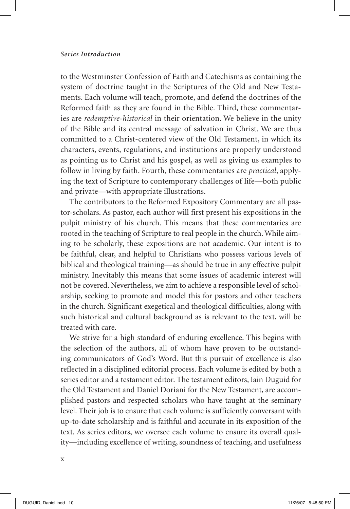#### *Series Introduction*

to the Westminster Confession of Faith and Catechisms as containing the system of doctrine taught in the Scriptures of the Old and New Testaments. Each volume will teach, promote, and defend the doctrines of the Reformed faith as they are found in the Bible. Third, these commentaries are *redemptive-historical* in their orientation. We believe in the unity of the Bible and its central message of salvation in Christ. We are thus committed to a Christ-centered view of the Old Testament, in which its characters, events, regulations, and institutions are properly understood as pointing us to Christ and his gospel, as well as giving us examples to follow in living by faith. Fourth, these commentaries are *practical*, applying the text of Scripture to contemporary challenges of life—both public and private—with appropriate illustrations.

The contributors to the Reformed Expository Commentary are all pastor-scholars. As pastor, each author will first present his expositions in the pulpit ministry of his church. This means that these commentaries are rooted in the teaching of Scripture to real people in the church. While aiming to be scholarly, these expositions are not academic. Our intent is to be faithful, clear, and helpful to Christians who possess various levels of biblical and theological training—as should be true in any effective pulpit ministry. Inevitably this means that some issues of academic interest will not be covered. Nevertheless, we aim to achieve a responsible level of scholarship, seeking to promote and model this for pastors and other teachers in the church. Significant exegetical and theological difficulties, along with such historical and cultural background as is relevant to the text, will be treated with care.

We strive for a high standard of enduring excellence. This begins with the selection of the authors, all of whom have proven to be outstanding communicators of God's Word. But this pursuit of excellence is also reflected in a disciplined editorial process. Each volume is edited by both a series editor and a testament editor. The testament editors, Iain Duguid for the Old Testament and Daniel Doriani for the New Testament, are accomplished pastors and respected scholars who have taught at the seminary level. Their job is to ensure that each volume is sufficiently conversant with up-to-date scholarship and is faithful and accurate in its exposition of the text. As series editors, we oversee each volume to ensure its overall quality—including excellence of writing, soundness of teaching, and usefulness

 $\mathbf X$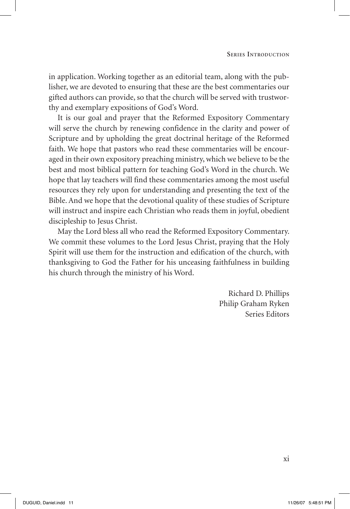in application. Working together as an editorial team, along with the publisher, we are devoted to ensuring that these are the best commentaries our gifted authors can provide, so that the church will be served with trustworthy and exemplary expositions of God's Word.

It is our goal and prayer that the Reformed Expository Commentary will serve the church by renewing confidence in the clarity and power of Scripture and by upholding the great doctrinal heritage of the Reformed faith. We hope that pastors who read these commentaries will be encouraged in their own expository preaching ministry, which we believe to be the best and most biblical pattern for teaching God's Word in the church. We hope that lay teachers will find these commentaries among the most useful resources they rely upon for understanding and presenting the text of the Bible. And we hope that the devotional quality of these studies of Scripture will instruct and inspire each Christian who reads them in joyful, obedient discipleship to Jesus Christ.

May the Lord bless all who read the Reformed Expository Commentary. We commit these volumes to the Lord Jesus Christ, praying that the Holy Spirit will use them for the instruction and edification of the church, with thanksgiving to God the Father for his unceasing faithfulness in building his church through the ministry of his Word.

> Richard D. Phillips Philip Graham Ryken Series Editors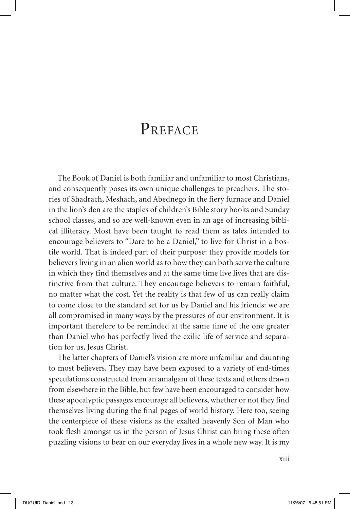### PREFACE

The Book of Daniel is both familiar and unfamiliar to most Christians, and consequently poses its own unique challenges to preachers. The stories of Shadrach, Meshach, and Abednego in the fiery furnace and Daniel in the lion's den are the staples of children's Bible story books and Sunday school classes, and so are well-known even in an age of increasing biblical illiteracy. Most have been taught to read them as tales intended to encourage believers to "Dare to be a Daniel," to live for Christ in a hostile world. That is indeed part of their purpose: they provide models for believers living in an alien world as to how they can both serve the culture in which they find themselves and at the same time live lives that are distinctive from that culture. They encourage believers to remain faithful, no matter what the cost. Yet the reality is that few of us can really claim to come close to the standard set for us by Daniel and his friends: we are all compromised in many ways by the pressures of our environment. It is important therefore to be reminded at the same time of the one greater than Daniel who has perfectly lived the exilic life of service and separation for us, Jesus Christ.

The latter chapters of Daniel's vision are more unfamiliar and daunting to most believers. They may have been exposed to a variety of end-times speculations constructed from an amalgam of these texts and others drawn from elsewhere in the Bible, but few have been encouraged to consider how these apocalyptic passages encourage all believers, whether or not they find themselves living during the final pages of world history. Here too, seeing the centerpiece of these visions as the exalted heavenly Son of Man who took flesh amongst us in the person of Jesus Christ can bring these often puzzling visions to bear on our everyday lives in a whole new way. It is my

xiii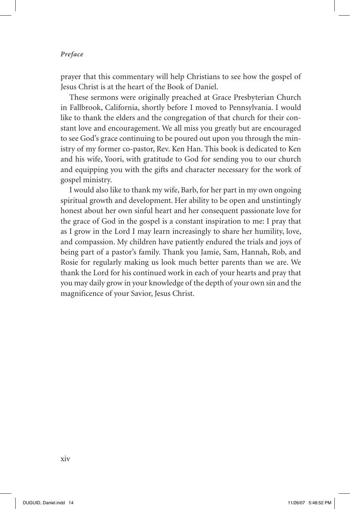#### *Preface*

prayer that this commentary will help Christians to see how the gospel of Jesus Christ is at the heart of the Book of Daniel.

These sermons were originally preached at Grace Presbyterian Church in Fallbrook, California, shortly before I moved to Pennsylvania. I would like to thank the elders and the congregation of that church for their constant love and encouragement. We all miss you greatly but are encouraged to see God's grace continuing to be poured out upon you through the ministry of my former co-pastor, Rev. Ken Han. This book is dedicated to Ken and his wife, Yoori, with gratitude to God for sending you to our church and equipping you with the gifts and character necessary for the work of gospel ministry.

I would also like to thank my wife, Barb, for her part in my own ongoing spiritual growth and development. Her ability to be open and unstintingly honest about her own sinful heart and her consequent passionate love for the grace of God in the gospel is a constant inspiration to me: I pray that as I grow in the Lord I may learn increasingly to share her humility, love, and compassion. My children have patiently endured the trials and joys of being part of a pastor's family. Thank you Jamie, Sam, Hannah, Rob, and Rosie for regularly making us look much better parents than we are. We thank the Lord for his continued work in each of your hearts and pray that you may daily grow in your knowledge of the depth of your own sin and the magnificence of your Savior, Jesus Christ.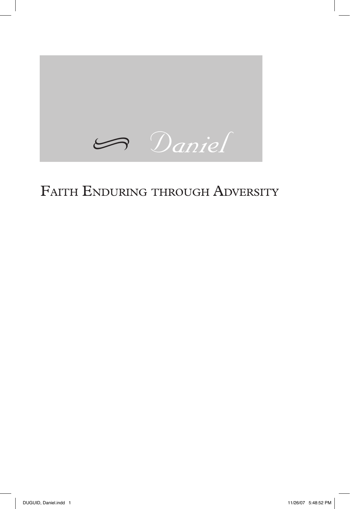

## FAITH ENDURING THROUGH ADVERSITY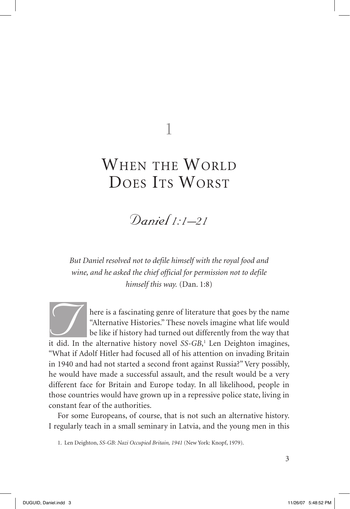1

# WHEN THE WORLD DOES ITS WORST

### *Daniel 1:1–21*

*But Daniel resolved not to defile himself with the royal food and wine, and he asked the chief official for permission not to defile himself this way.* (Dan. 1:8)

**THERE IS A fascinating genre of literature that goes by the name "Alternative Histories." These novels imagine what life would be like if history had turned out differently from the way that it did. In the alternative his** "Alternative Histories." These novels imagine what life would be like if history had turned out differently from the way that it did. In the alternative history novel *SS-GB*,<sup>1</sup> Len Deighton imagines, "What if Adolf Hitler had focused all of his attention on invading Britain in 1940 and had not started a second front against Russia?" Very possibly, he would have made a successful assault, and the result would be a very different face for Britain and Europe today. In all likelihood, people in those countries would have grown up in a repressive police state, living in constant fear of the authorities.

For some Europeans, of course, that is not such an alternative history. I regularly teach in a small seminary in Latvia, and the young men in this

. Len Deighton, *SS-GB: Nazi Occupied Britain, 1941* (New York: Knopf, 1979).